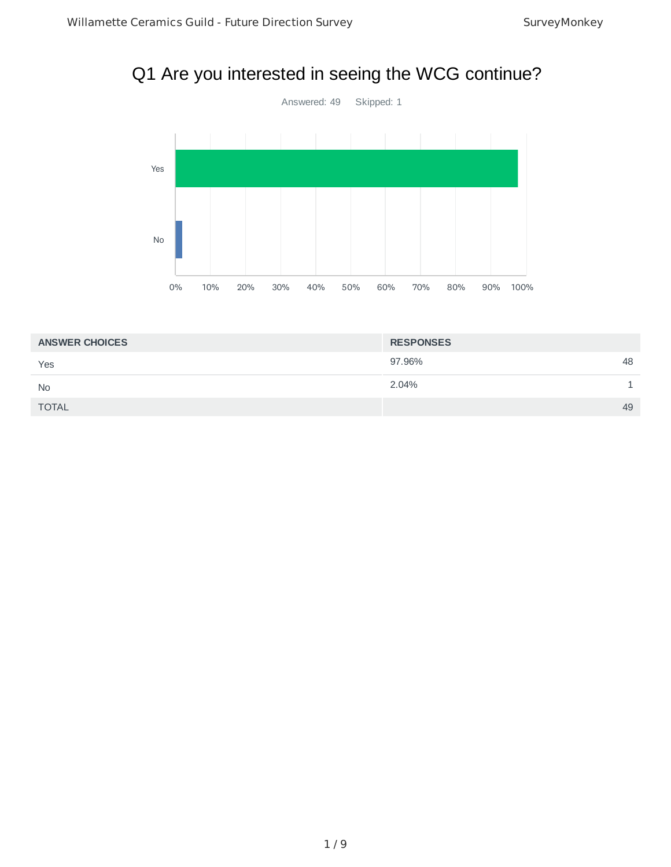#### Q1 Are you interested in seeing the WCG continue?



| <b>ANSWER CHOICES</b> | <b>RESPONSES</b> |
|-----------------------|------------------|
| Yes                   | 97.96%<br>48     |
| <b>No</b>             | 2.04%            |
| <b>TOTAL</b>          | 49               |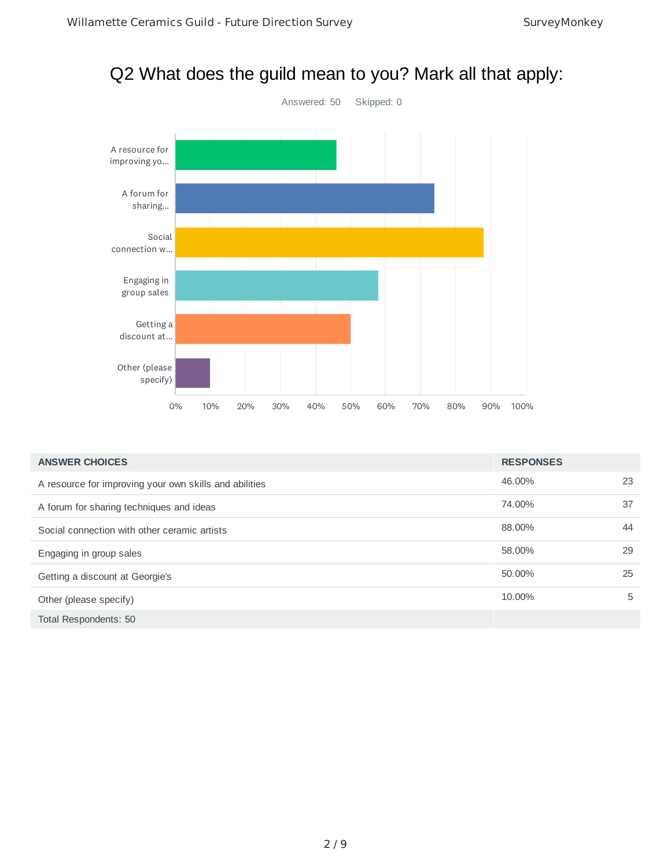# Q2 What does the guild mean to you? Mark all that apply:



| <b>ANSWER CHOICES</b>                                  | <b>RESPONSES</b> |    |
|--------------------------------------------------------|------------------|----|
| A resource for improving your own skills and abilities | 46.00%           | 23 |
| A forum for sharing techniques and ideas               | 74.00%           | 37 |
| Social connection with other ceramic artists           | 88.00%           | 44 |
| Engaging in group sales                                | 58.00%           | 29 |
| Getting a discount at Georgie's                        | 50.00%           | 25 |
| Other (please specify)                                 | 10.00%           | 5  |
| Total Respondents: 50                                  |                  |    |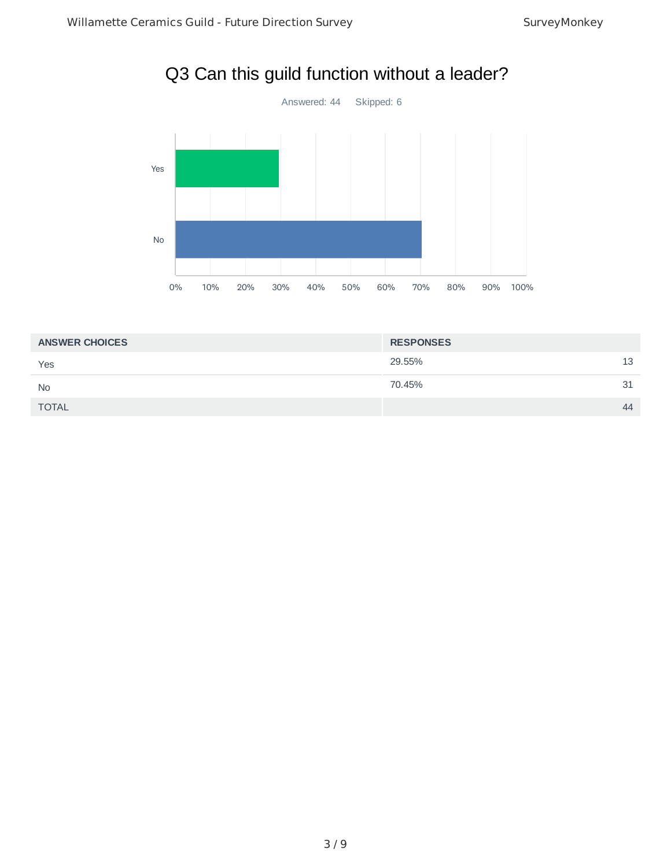

# Q3 Can this guild function without a leader?

| <b>ANSWER CHOICES</b> | <b>RESPONSES</b> |    |
|-----------------------|------------------|----|
| Yes                   | 29.55%           | 13 |
| <b>No</b>             | 70.45%           | 31 |
| <b>TOTAL</b>          |                  | 44 |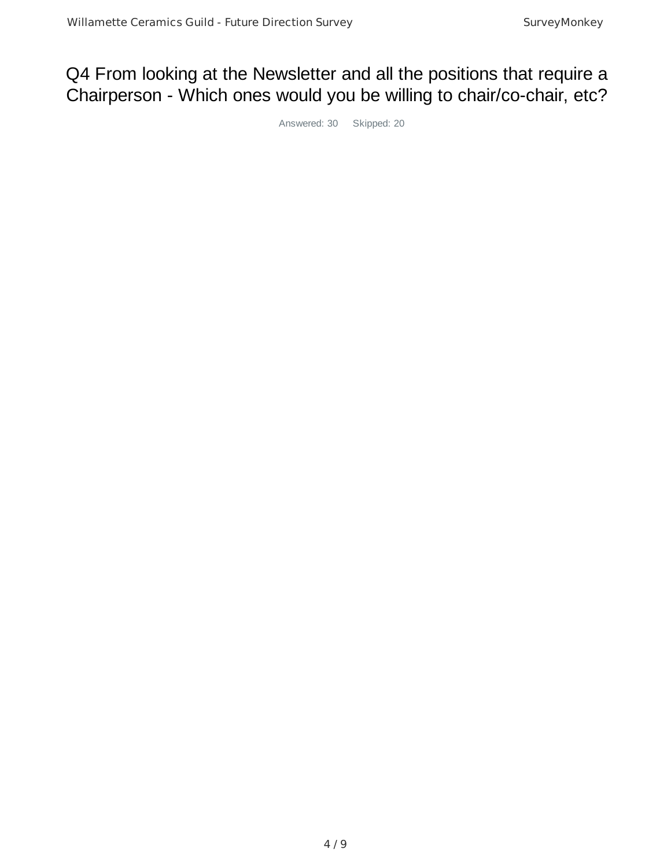### Q4 From looking at the Newsletter and all the positions that require a Chairperson - Which ones would you be willing to chair/co-chair, etc?

Answered: 30 Skipped: 20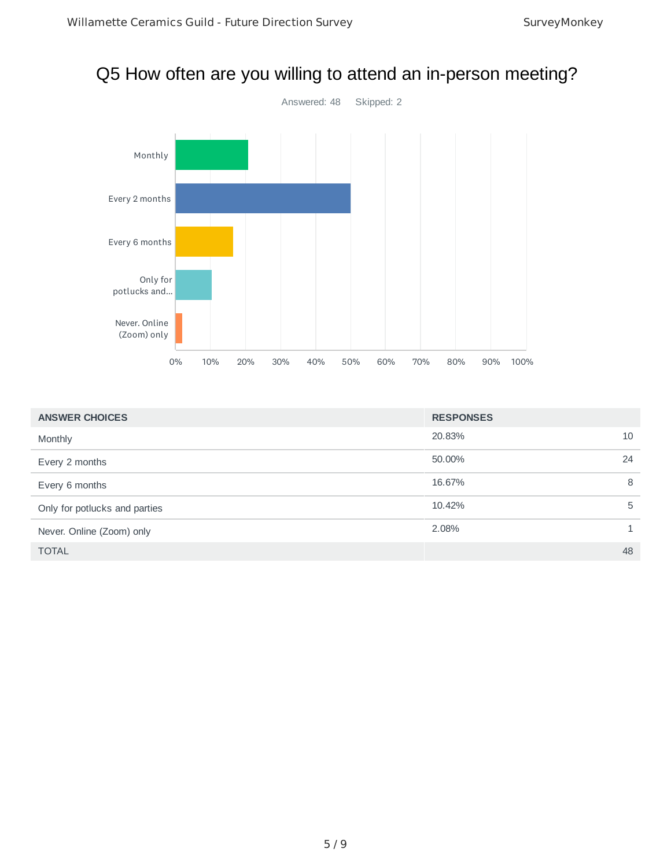#### Q5 How often are you willing to attend an in-person meeting?



| <b>ANSWER CHOICES</b>         | <b>RESPONSES</b> |    |
|-------------------------------|------------------|----|
| Monthly                       | 20.83%           | 10 |
| Every 2 months                | 50.00%           | 24 |
| Every 6 months                | 16.67%           | 8  |
| Only for potlucks and parties | 10.42%           | 5  |
| Never. Online (Zoom) only     | 2.08%            | 1. |
| <b>TOTAL</b>                  |                  | 48 |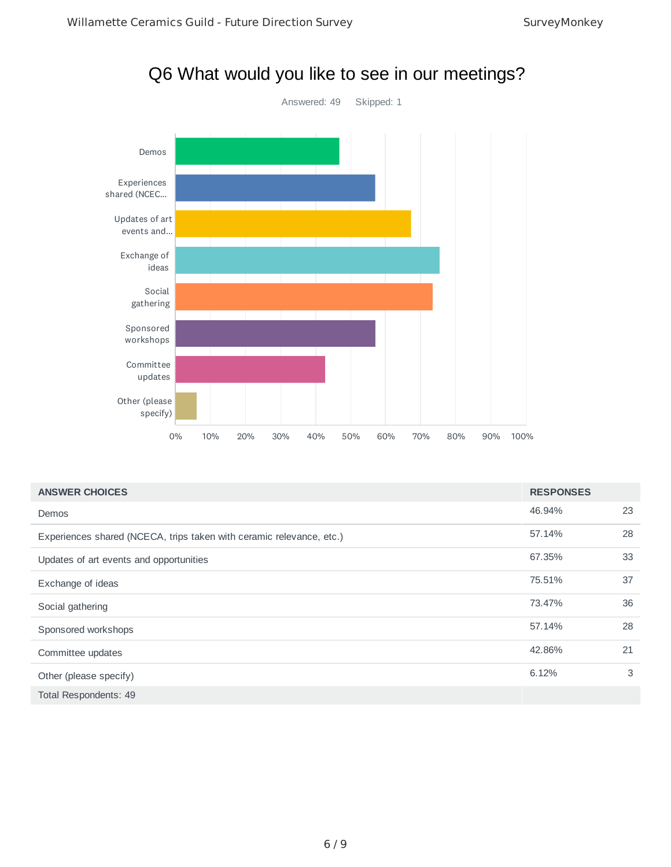

|  |  | Q6 What would you like to see in our meetings? |
|--|--|------------------------------------------------|
|--|--|------------------------------------------------|

| <b>ANSWER CHOICES</b>                                                | <b>RESPONSES</b> |    |
|----------------------------------------------------------------------|------------------|----|
| Demos                                                                | 46.94%           | 23 |
| Experiences shared (NCECA, trips taken with ceramic relevance, etc.) | 57.14%           | 28 |
| Updates of art events and opportunities                              | 67.35%           | 33 |
| Exchange of ideas                                                    | 75.51%           | 37 |
| Social gathering                                                     | 73.47%           | 36 |
| Sponsored workshops                                                  | 57.14%           | 28 |
| Committee updates                                                    | 42.86%           | 21 |
| Other (please specify)                                               | 6.12%            | 3  |
| Total Respondents: 49                                                |                  |    |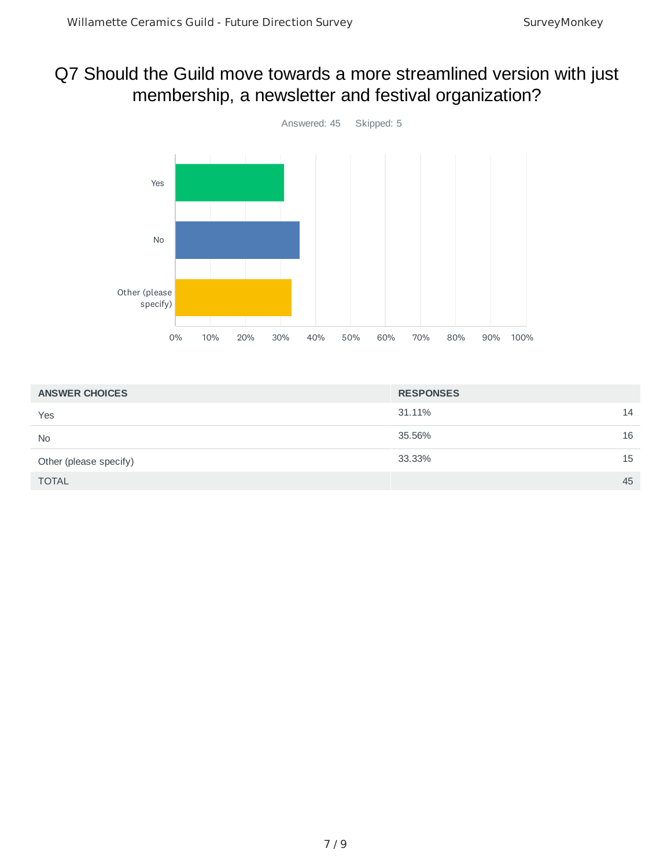### Q7 Should the Guild move towards a more streamlined version with just membership, a newsletter and festival organization?



| <b>ANSWER CHOICES</b>  | <b>RESPONSES</b> |    |
|------------------------|------------------|----|
| Yes                    | 31.11%           | 14 |
| <b>No</b>              | 35.56%           | 16 |
| Other (please specify) | 33.33%           | 15 |
| <b>TOTAL</b>           |                  | 45 |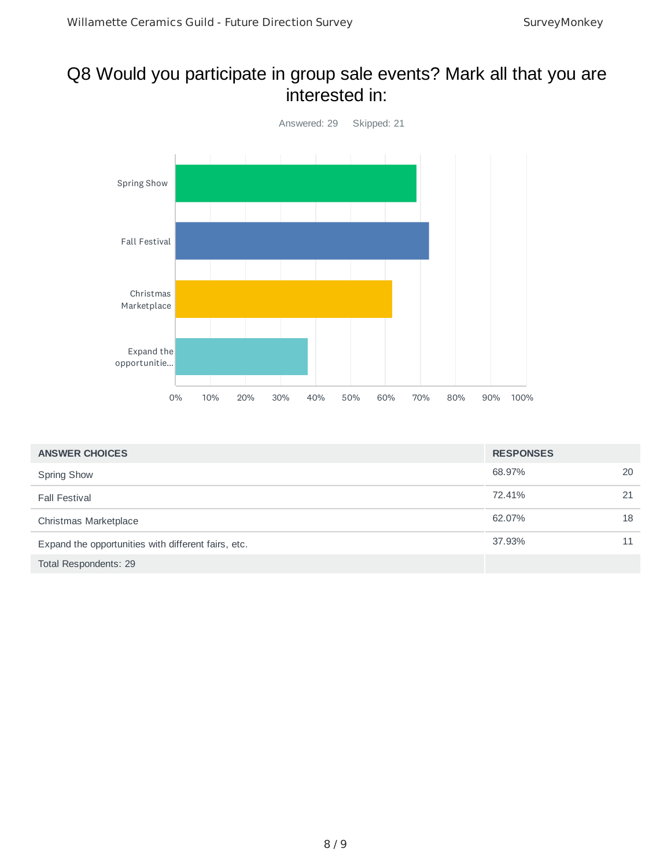#### Q8 Would you participate in group sale events? Mark all that you are interested in:



| <b>ANSWER CHOICES</b>                               | <b>RESPONSES</b> |    |
|-----------------------------------------------------|------------------|----|
| <b>Spring Show</b>                                  | 68.97%           | 20 |
| <b>Fall Festival</b>                                | 72.41%           | 21 |
| Christmas Marketplace                               | 62.07%           | 18 |
| Expand the opportunities with different fairs, etc. | 37.93%           | 11 |
| Total Respondents: 29                               |                  |    |